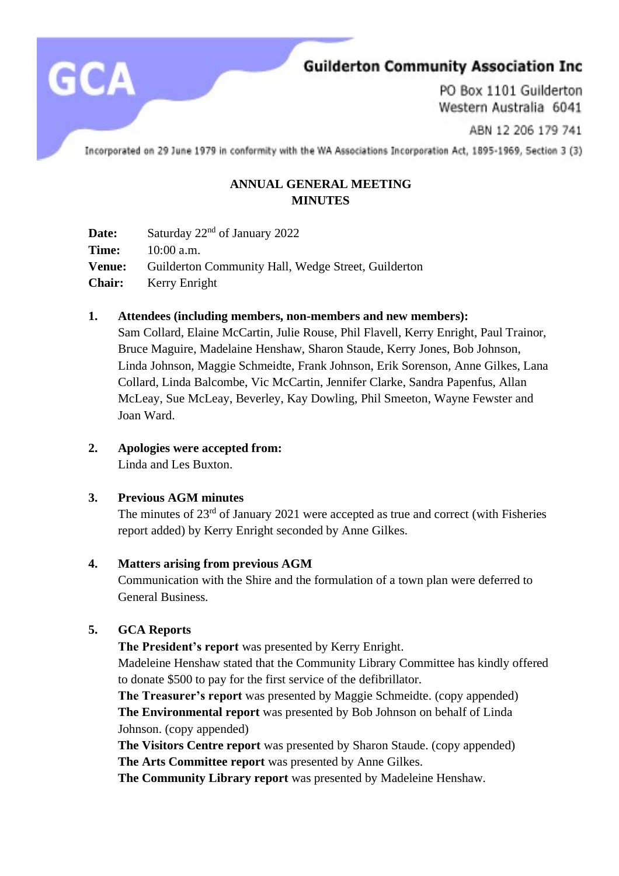

# **Guilderton Community Association Inc**

PO Box 1101 Guilderton Western Australia 6041

ABN 12 206 179 741

Incorporated on 29 June 1979 in conformity with the WA Associations Incorporation Act, 1895-1969, Section 3 (3)

## **ANNUAL GENERAL MEETING MINUTES**

Date: Saturday 22<sup>nd</sup> of January 2022 **Time:** 10:00 a.m. **Venue:** Guilderton Community Hall, Wedge Street, Guilderton **Chair:** Kerry Enright

### **1. Attendees (including members, non-members and new members):**

Sam Collard, Elaine McCartin, Julie Rouse, Phil Flavell, Kerry Enright, Paul Trainor, Bruce Maguire, Madelaine Henshaw, Sharon Staude, Kerry Jones, Bob Johnson, Linda Johnson, Maggie Schmeidte, Frank Johnson, Erik Sorenson, Anne Gilkes, Lana Collard, Linda Balcombe, Vic McCartin, Jennifer Clarke, Sandra Papenfus, Allan McLeay, Sue McLeay, Beverley, Kay Dowling, Phil Smeeton, Wayne Fewster and Joan Ward.

# **2. Apologies were accepted from:**

Linda and Les Buxton.

### **3. Previous AGM minutes**

The minutes of  $23<sup>rd</sup>$  of January 2021 were accepted as true and correct (with Fisheries report added) by Kerry Enright seconded by Anne Gilkes.

### **4. Matters arising from previous AGM**

Communication with the Shire and the formulation of a town plan were deferred to General Business.

### **5. GCA Reports**

**The President's report** was presented by Kerry Enright.

Madeleine Henshaw stated that the Community Library Committee has kindly offered to donate \$500 to pay for the first service of the defibrillator.

**The Treasurer's report** was presented by Maggie Schmeidte. (copy appended) **The Environmental report** was presented by Bob Johnson on behalf of Linda Johnson. (copy appended)

**The Visitors Centre report** was presented by Sharon Staude. (copy appended) **The Arts Committee report** was presented by Anne Gilkes.

**The Community Library report** was presented by Madeleine Henshaw.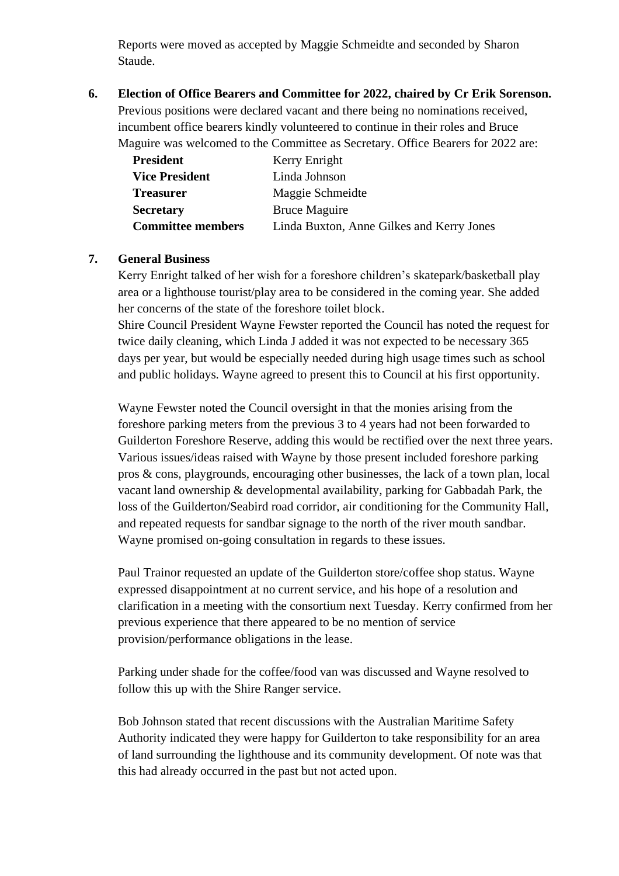Reports were moved as accepted by Maggie Schmeidte and seconded by Sharon Staude.

**6. Election of Office Bearers and Committee for 2022, chaired by Cr Erik Sorenson.** Previous positions were declared vacant and there being no nominations received, incumbent office bearers kindly volunteered to continue in their roles and Bruce Maguire was welcomed to the Committee as Secretary. Office Bearers for 2022 are:

| <b>President</b>         | Kerry Enright                             |
|--------------------------|-------------------------------------------|
| <b>Vice President</b>    | Linda Johnson                             |
| <b>Treasurer</b>         | Maggie Schmeidte                          |
| <b>Secretary</b>         | <b>Bruce Maguire</b>                      |
| <b>Committee members</b> | Linda Buxton, Anne Gilkes and Kerry Jones |

### **7. General Business**

Kerry Enright talked of her wish for a foreshore children's skatepark/basketball play area or a lighthouse tourist/play area to be considered in the coming year. She added her concerns of the state of the foreshore toilet block.

Shire Council President Wayne Fewster reported the Council has noted the request for twice daily cleaning, which Linda J added it was not expected to be necessary 365 days per year, but would be especially needed during high usage times such as school and public holidays. Wayne agreed to present this to Council at his first opportunity.

Wayne Fewster noted the Council oversight in that the monies arising from the foreshore parking meters from the previous 3 to 4 years had not been forwarded to Guilderton Foreshore Reserve, adding this would be rectified over the next three years. Various issues/ideas raised with Wayne by those present included foreshore parking pros & cons, playgrounds, encouraging other businesses, the lack of a town plan, local vacant land ownership & developmental availability, parking for Gabbadah Park, the loss of the Guilderton/Seabird road corridor, air conditioning for the Community Hall, and repeated requests for sandbar signage to the north of the river mouth sandbar. Wayne promised on-going consultation in regards to these issues.

Paul Trainor requested an update of the Guilderton store/coffee shop status. Wayne expressed disappointment at no current service, and his hope of a resolution and clarification in a meeting with the consortium next Tuesday. Kerry confirmed from her previous experience that there appeared to be no mention of service provision/performance obligations in the lease.

Parking under shade for the coffee/food van was discussed and Wayne resolved to follow this up with the Shire Ranger service.

Bob Johnson stated that recent discussions with the Australian Maritime Safety Authority indicated they were happy for Guilderton to take responsibility for an area of land surrounding the lighthouse and its community development. Of note was that this had already occurred in the past but not acted upon.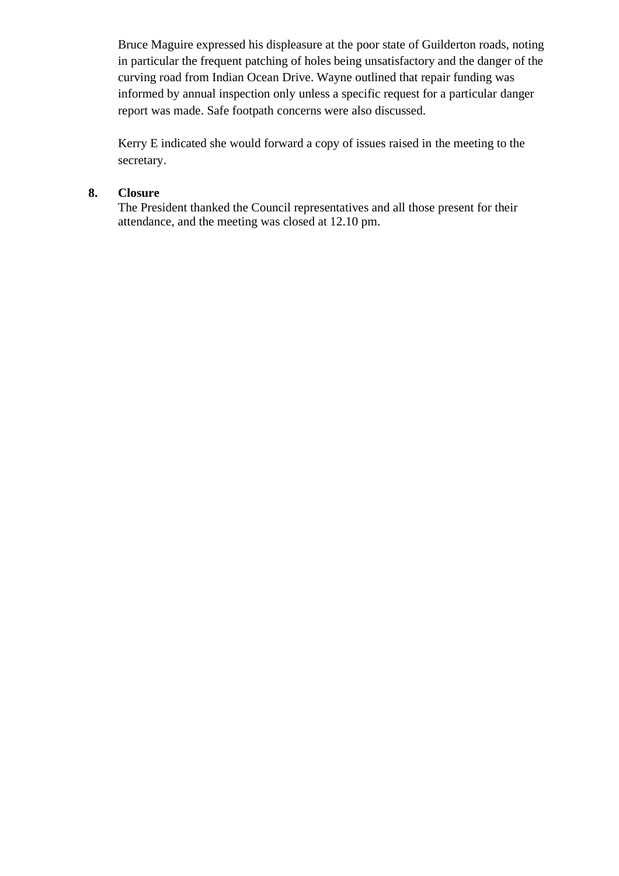Bruce Maguire expressed his displeasure at the poor state of Guilderton roads, noting in particular the frequent patching of holes being unsatisfactory and the danger of the curving road from Indian Ocean Drive. Wayne outlined that repair funding was informed by annual inspection only unless a specific request for a particular danger report was made. Safe footpath concerns were also discussed.

Kerry E indicated she would forward a copy of issues raised in the meeting to the secretary.

#### **8. Closure**

The President thanked the Council representatives and all those present for their attendance, and the meeting was closed at 12.10 pm.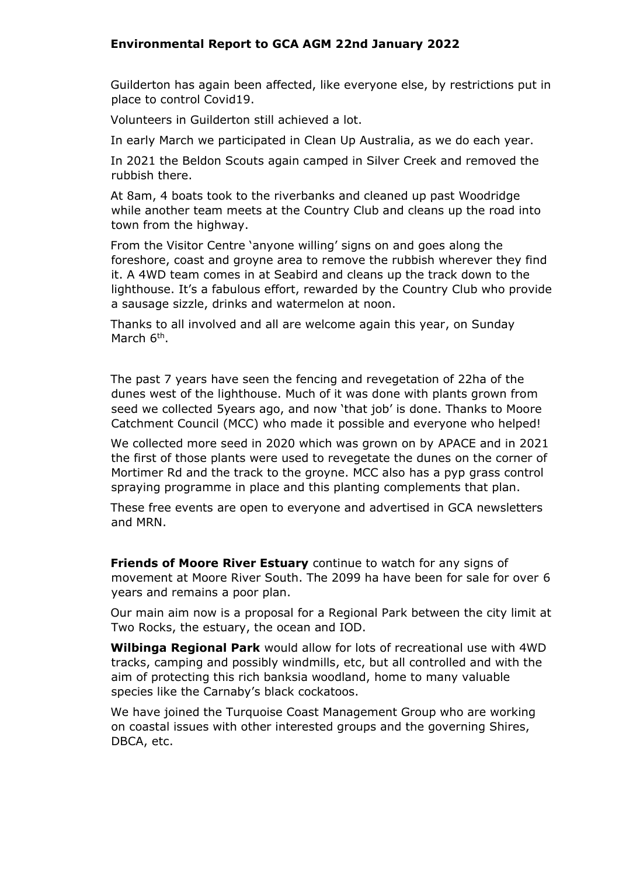#### **Environmental Report to GCA AGM 22nd January 2022**

Guilderton has again been affected, like everyone else, by restrictions put in place to control Covid19.

Volunteers in Guilderton still achieved a lot.

In early March we participated in Clean Up Australia, as we do each year.

In 2021 the Beldon Scouts again camped in Silver Creek and removed the rubbish there.

At 8am, 4 boats took to the riverbanks and cleaned up past Woodridge while another team meets at the Country Club and cleans up the road into town from the highway.

From the Visitor Centre 'anyone willing' signs on and goes along the foreshore, coast and groyne area to remove the rubbish wherever they find it. A 4WD team comes in at Seabird and cleans up the track down to the lighthouse. It's a fabulous effort, rewarded by the Country Club who provide a sausage sizzle, drinks and watermelon at noon.

Thanks to all involved and all are welcome again this year, on Sunday March 6<sup>th</sup>.

The past 7 years have seen the fencing and revegetation of 22ha of the dunes west of the lighthouse. Much of it was done with plants grown from seed we collected 5years ago, and now 'that job' is done. Thanks to Moore Catchment Council (MCC) who made it possible and everyone who helped!

We collected more seed in 2020 which was grown on by APACE and in 2021 the first of those plants were used to revegetate the dunes on the corner of Mortimer Rd and the track to the groyne. MCC also has a pyp grass control spraying programme in place and this planting complements that plan.

These free events are open to everyone and advertised in GCA newsletters and MRN.

**Friends of Moore River Estuary** continue to watch for any signs of movement at Moore River South. The 2099 ha have been for sale for over 6 years and remains a poor plan.

Our main aim now is a proposal for a Regional Park between the city limit at Two Rocks, the estuary, the ocean and IOD.

**Wilbinga Regional Park** would allow for lots of recreational use with 4WD tracks, camping and possibly windmills, etc, but all controlled and with the aim of protecting this rich banksia woodland, home to many valuable species like the Carnaby's black cockatoos.

We have joined the Turquoise Coast Management Group who are working on coastal issues with other interested groups and the governing Shires, DBCA, etc.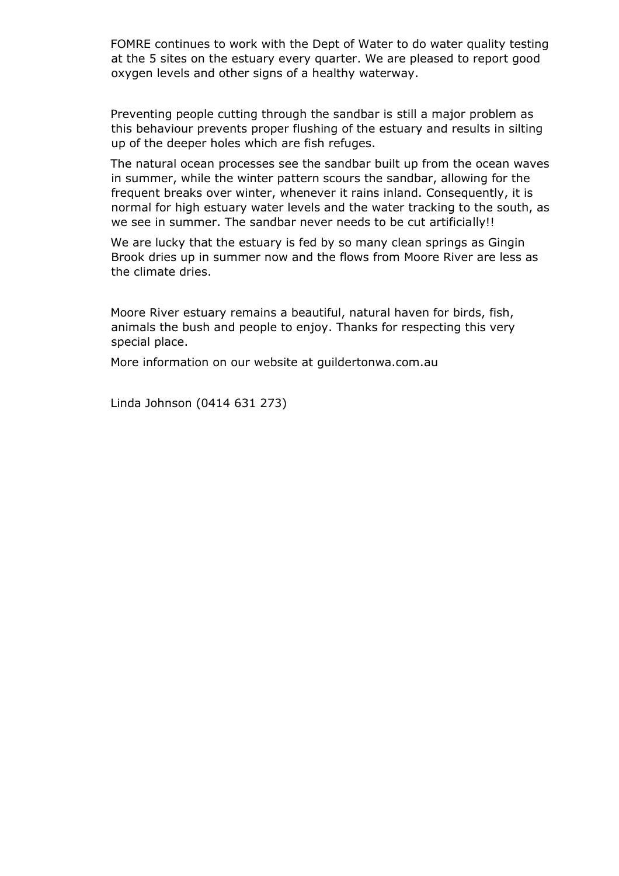FOMRE continues to work with the Dept of Water to do water quality testing at the 5 sites on the estuary every quarter. We are pleased to report good oxygen levels and other signs of a healthy waterway.

Preventing people cutting through the sandbar is still a major problem as this behaviour prevents proper flushing of the estuary and results in silting up of the deeper holes which are fish refuges.

The natural ocean processes see the sandbar built up from the ocean waves in summer, while the winter pattern scours the sandbar, allowing for the frequent breaks over winter, whenever it rains inland. Consequently, it is normal for high estuary water levels and the water tracking to the south, as we see in summer. The sandbar never needs to be cut artificially!!

We are lucky that the estuary is fed by so many clean springs as Gingin Brook dries up in summer now and the flows from Moore River are less as the climate dries.

Moore River estuary remains a beautiful, natural haven for birds, fish, animals the bush and people to enjoy. Thanks for respecting this very special place.

More information on our website at guildertonwa.com.au

Linda Johnson (0414 631 273)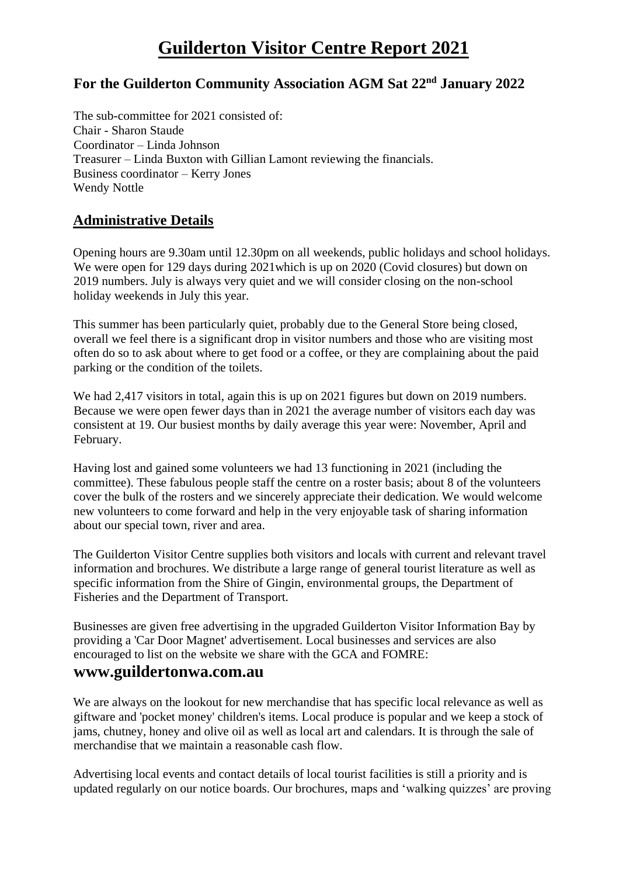# **Guilderton Visitor Centre Report 2021**

# **For the Guilderton Community Association AGM Sat 22nd January 2022**

The sub-committee for 2021 consisted of: Chair - Sharon Staude Coordinator – Linda Johnson Treasurer – Linda Buxton with Gillian Lamont reviewing the financials. Business coordinator – Kerry Jones Wendy Nottle

## **Administrative Details**

Opening hours are 9.30am until 12.30pm on all weekends, public holidays and school holidays. We were open for 129 days during 2021which is up on 2020 (Covid closures) but down on 2019 numbers. July is always very quiet and we will consider closing on the non-school holiday weekends in July this year.

This summer has been particularly quiet, probably due to the General Store being closed, overall we feel there is a significant drop in visitor numbers and those who are visiting most often do so to ask about where to get food or a coffee, or they are complaining about the paid parking or the condition of the toilets.

We had 2.417 visitors in total, again this is up on 2021 figures but down on 2019 numbers. Because we were open fewer days than in 2021 the average number of visitors each day was consistent at 19. Our busiest months by daily average this year were: November, April and February.

Having lost and gained some volunteers we had 13 functioning in 2021 (including the committee). These fabulous people staff the centre on a roster basis; about 8 of the volunteers cover the bulk of the rosters and we sincerely appreciate their dedication. We would welcome new volunteers to come forward and help in the very enjoyable task of sharing information about our special town, river and area.

The Guilderton Visitor Centre supplies both visitors and locals with current and relevant travel information and brochures. We distribute a large range of general tourist literature as well as specific information from the Shire of Gingin, environmental groups, the Department of Fisheries and the Department of Transport.

Businesses are given free advertising in the upgraded Guilderton Visitor Information Bay by providing a 'Car Door Magnet' advertisement. Local businesses and services are also encouraged to list on the website we share with the GCA and FOMRE:

## **www.guildertonwa.com.au**

We are always on the lookout for new merchandise that has specific local relevance as well as giftware and 'pocket money' children's items. Local produce is popular and we keep a stock of jams, chutney, honey and olive oil as well as local art and calendars. It is through the sale of merchandise that we maintain a reasonable cash flow.

Advertising local events and contact details of local tourist facilities is still a priority and is updated regularly on our notice boards. Our brochures, maps and 'walking quizzes' are proving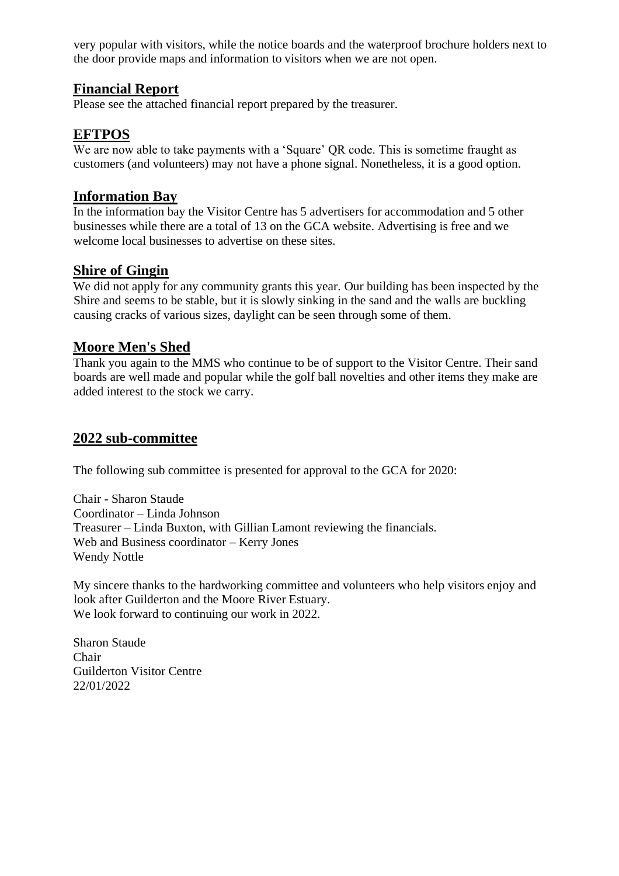very popular with visitors, while the notice boards and the waterproof brochure holders next to the door provide maps and information to visitors when we are not open.

## **Financial Report**

Please see the attached financial report prepared by the treasurer.

# **EFTPOS**

We are now able to take payments with a 'Square' QR code. This is sometime fraught as customers (and volunteers) may not have a phone signal. Nonetheless, it is a good option.

## **Information Bay**

In the information bay the Visitor Centre has 5 advertisers for accommodation and 5 other businesses while there are a total of 13 on the GCA website. Advertising is free and we welcome local businesses to advertise on these sites.

# **Shire of Gingin**

We did not apply for any community grants this year. Our building has been inspected by the Shire and seems to be stable, but it is slowly sinking in the sand and the walls are buckling causing cracks of various sizes, daylight can be seen through some of them.

## **Moore Men's Shed**

Thank you again to the MMS who continue to be of support to the Visitor Centre. Their sand boards are well made and popular while the golf ball novelties and other items they make are added interest to the stock we carry.

# **2022 sub-committee**

The following sub committee is presented for approval to the GCA for 2020:

Chair - Sharon Staude Coordinator – Linda Johnson Treasurer – Linda Buxton, with Gillian Lamont reviewing the financials. Web and Business coordinator – Kerry Jones Wendy Nottle

My sincere thanks to the hardworking committee and volunteers who help visitors enjoy and look after Guilderton and the Moore River Estuary. We look forward to continuing our work in 2022.

Sharon Staude Chair Guilderton Visitor Centre 22/01/2022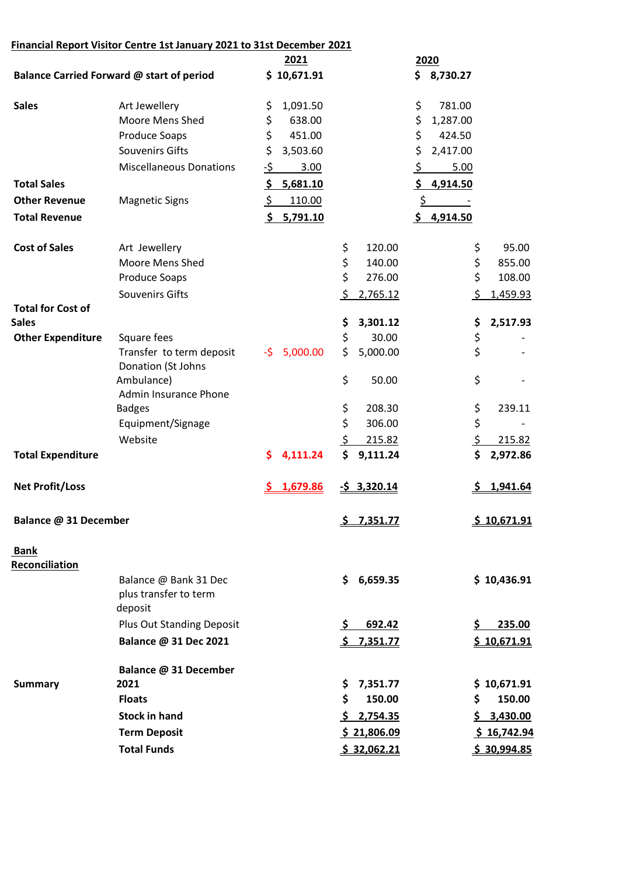|                                                                                                    | Financial Report Visitor Centre 1st January 2021 to 31st December 2021 | 2021              |                   |                       |
|----------------------------------------------------------------------------------------------------|------------------------------------------------------------------------|-------------------|-------------------|-----------------------|
|                                                                                                    |                                                                        |                   |                   | 2020                  |
|                                                                                                    | Balance Carried Forward @ start of period                              | \$10,671.91       |                   | \$8,730.27            |
| <b>Sales</b>                                                                                       | Art Jewellery                                                          | \$<br>1,091.50    |                   | \$<br>781.00          |
|                                                                                                    | Moore Mens Shed                                                        | \$<br>638.00      |                   | \$<br>1,287.00        |
|                                                                                                    | Produce Soaps                                                          | \$<br>451.00      |                   | \$<br>424.50          |
|                                                                                                    | <b>Souvenirs Gifts</b>                                                 | \$<br>3,503.60    |                   | \$<br>2,417.00        |
|                                                                                                    | <b>Miscellaneous Donations</b>                                         | <u>ځ۔</u><br>3.00 |                   | <u>ځ</u><br>5.00      |
| <b>Total Sales</b>                                                                                 |                                                                        | 5,681.10<br>\$    |                   | \$4,914.50            |
| <b>Other Revenue</b>                                                                               | <b>Magnetic Signs</b>                                                  | \$<br>110.00      |                   | \$                    |
| <b>Total Revenue</b>                                                                               |                                                                        | $5$ 5,791.10      |                   | \$4,914.50            |
| <b>Cost of Sales</b>                                                                               | Art Jewellery                                                          |                   | \$<br>120.00      | \$<br>95.00           |
|                                                                                                    | Moore Mens Shed                                                        |                   | \$<br>140.00      | \$<br>855.00          |
|                                                                                                    | Produce Soaps                                                          |                   | \$<br>276.00      | \$<br>108.00          |
|                                                                                                    | <b>Souvenirs Gifts</b>                                                 |                   | \$<br>2,765.12    | <u>\$</u><br>1,459.93 |
| <b>Total for Cost of</b>                                                                           |                                                                        |                   |                   |                       |
| <b>Sales</b>                                                                                       |                                                                        |                   | 3,301.12<br>\$    | \$<br>2,517.93        |
| <b>Other Expenditure</b>                                                                           | Square fees                                                            |                   | \$<br>30.00       | \$                    |
| Transfer to term deposit<br>Donation (St Johns<br>Ambulance)<br><b>Badges</b><br>Equipment/Signage |                                                                        | $-5$ 5,000.00     | \$<br>5,000.00    | \$                    |
|                                                                                                    |                                                                        |                   |                   |                       |
|                                                                                                    | Admin Insurance Phone                                                  |                   | \$<br>50.00       | \$                    |
|                                                                                                    |                                                                        |                   | \$<br>208.30      | \$<br>239.11          |
|                                                                                                    |                                                                        |                   | \$<br>306.00      | \$                    |
|                                                                                                    | Website                                                                |                   | \$<br>215.82      | \$<br>215.82          |
| <b>Total Expenditure</b>                                                                           |                                                                        | 4,111.24          | \$<br>9,111.24    | \$<br>2,972.86        |
| <b>Net Profit/Loss</b>                                                                             |                                                                        | 1,679.86          | $-5$ 3,320.14     | 1,941.64              |
| Balance @ 31 December                                                                              |                                                                        |                   | <u>\$7,351.77</u> | <u>\$10,671.91</u>    |
| <b>Bank</b>                                                                                        |                                                                        |                   |                   |                       |
| Reconciliation                                                                                     |                                                                        |                   |                   |                       |
| deposit                                                                                            | Balance @ Bank 31 Dec                                                  |                   | \$<br>6,659.35    | \$10,436.91           |
|                                                                                                    | plus transfer to term                                                  |                   |                   |                       |
|                                                                                                    |                                                                        |                   |                   |                       |
|                                                                                                    | Plus Out Standing Deposit                                              |                   | 692.42<br>\$.     | 235.00                |
|                                                                                                    | Balance @ 31 Dec 2021                                                  |                   | 7,351.77<br>Ŝ.    | \$10,671.91           |
|                                                                                                    | Balance @ 31 December                                                  |                   |                   |                       |
| <b>Summary</b>                                                                                     | 2021                                                                   |                   | 7,351.77<br>Ş     | \$10,671.91           |
|                                                                                                    | <b>Floats</b>                                                          |                   | \$<br>150.00      | 150.00<br>\$          |
|                                                                                                    | <b>Stock in hand</b>                                                   |                   | \$2,754.35        | 3,430.00              |
|                                                                                                    | <b>Term Deposit</b>                                                    |                   | \$21,806.09       | \$16,742.94           |
|                                                                                                    | <b>Total Funds</b>                                                     |                   | \$32,062.21       | <u>\$30,994.85</u>    |